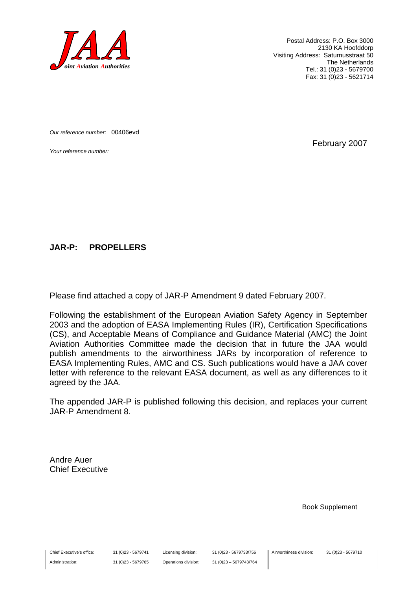

Postal Address: P.O. Box 3000 2130 KA Hoofddorp Visiting Address: Saturnusstraat 50 The Netherlands Tel.: 31 (0)23 - 5679700 Fax: 31 (0)23 - 5621714

*Our reference number:* 00406evd

*Your reference number:* February 2007

#### **JAR-P: PROPELLERS**

Please find attached a copy of JAR-P Amendment 9 dated February 2007.

Following the establishment of the European Aviation Safety Agency in September 2003 and the adoption of EASA Implementing Rules (IR), Certification Specifications (CS), and Acceptable Means of Compliance and Guidance Material (AMC) the Joint Aviation Authorities Committee made the decision that in future the JAA would publish amendments to the airworthiness JARs by incorporation of reference to EASA Implementing Rules, AMC and CS. Such publications would have a JAA cover letter with reference to the relevant EASA document, as well as any differences to it agreed by the JAA.

The appended JAR-P is published following this decision, and replaces your current JAR-P Amendment 8.

Andre Auer Chief Executive

Book Supplement

Chief Executive's office:

Administration:

31 (0)23 - 5679741 31 (0)23 - 5679765 Licensing division: Operations division: 31 (0)23 - 5679733/756 31 (0)23 – 5679743/764 Airworthiness division: 31 (0)23 - 5679710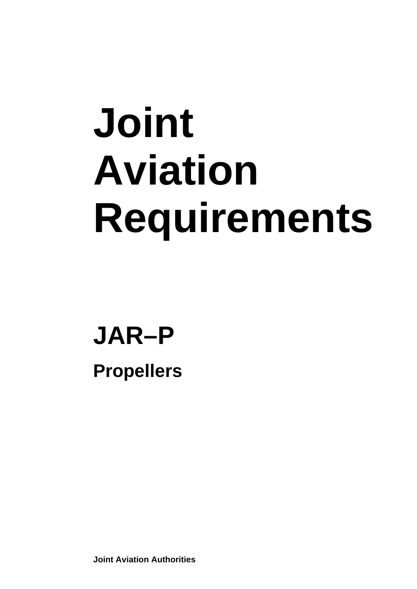# **Joint Aviation Requirements**

## **JAR–P**

**Propellers** 

**Joint Aviation Authorities**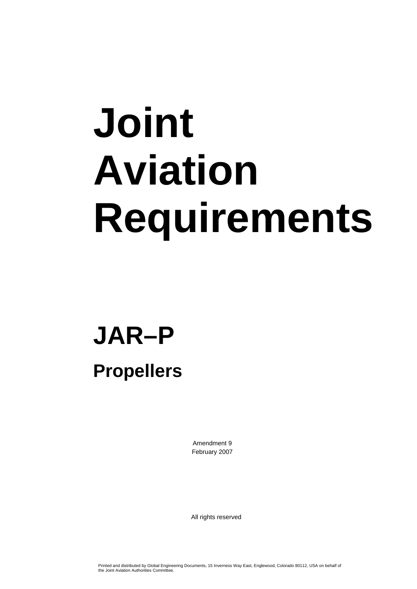# **Joint Aviation Requirements**

## **JAR–P**

### **Propellers**

Amendment 9 February 2007

All rights reserved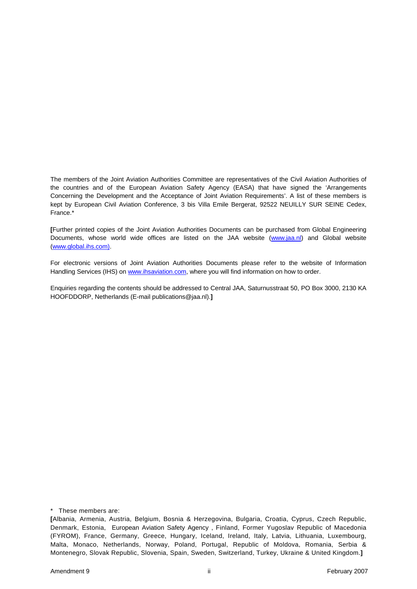The members of the Joint Aviation Authorities Committee are representatives of the Civil Aviation Authorities of the countries and of the European Aviation Safety Agency (EASA) that have signed the 'Arrangements Concerning the Development and the Acceptance of Joint Aviation Requirements'. A list of these members is kept by European Civil Aviation Conference, 3 bis Villa Emile Bergerat, 92522 NEUILLY SUR SEINE Cedex, France.\*

**[**Further printed copies of the Joint Aviation Authorities Documents can be purchased from Global Engineering Documents, whose world wide offices are listed on the JAA website (www.jaa.nl) and Global website (www.global.ihs.com).

For electronic versions of Joint Aviation Authorities Documents please refer to the website of Information Handling Services (IHS) on www.ihsaviation.com, where you will find information on how to order.

Enquiries regarding the contents should be addressed to Central JAA, Saturnusstraat 50, PO Box 3000, 2130 KA HOOFDDORP, Netherlands (E-mail publications@jaa.nl).**]**

\* These members are:

**<sup>[</sup>**Albania, Armenia, Austria, Belgium, Bosnia & Herzegovina, Bulgaria, Croatia, Cyprus, Czech Republic, Denmark, Estonia, European Aviation Safety Agency , Finland, Former Yugoslav Republic of Macedonia (FYROM), France, Germany, Greece, Hungary, Iceland, Ireland, Italy, Latvia, Lithuania, Luxembourg, Malta, Monaco, Netherlands, Norway, Poland, Portugal, Republic of Moldova, Romania, Serbia & Montenegro, Slovak Republic, Slovenia, Spain, Sweden, Switzerland, Turkey, Ukraine & United Kingdom.**]**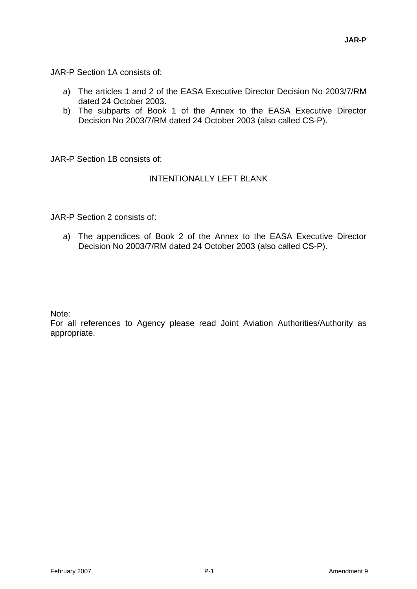JAR-P Section 1A consists of:

- a) The articles 1 and 2 of the EASA Executive Director Decision No 2003/7/RM dated 24 October 2003.
- b) The subparts of Book 1 of the Annex to the EASA Executive Director Decision No 2003/7/RM dated 24 October 2003 (also called CS-P).

JAR-P Section 1B consists of:

#### INTENTIONALLY LEFT BLANK

JAR-P Section 2 consists of:

a) The appendices of Book 2 of the Annex to the EASA Executive Director Decision No 2003/7/RM dated 24 October 2003 (also called CS-P).

Note:

For all references to Agency please read Joint Aviation Authorities/Authority as appropriate.